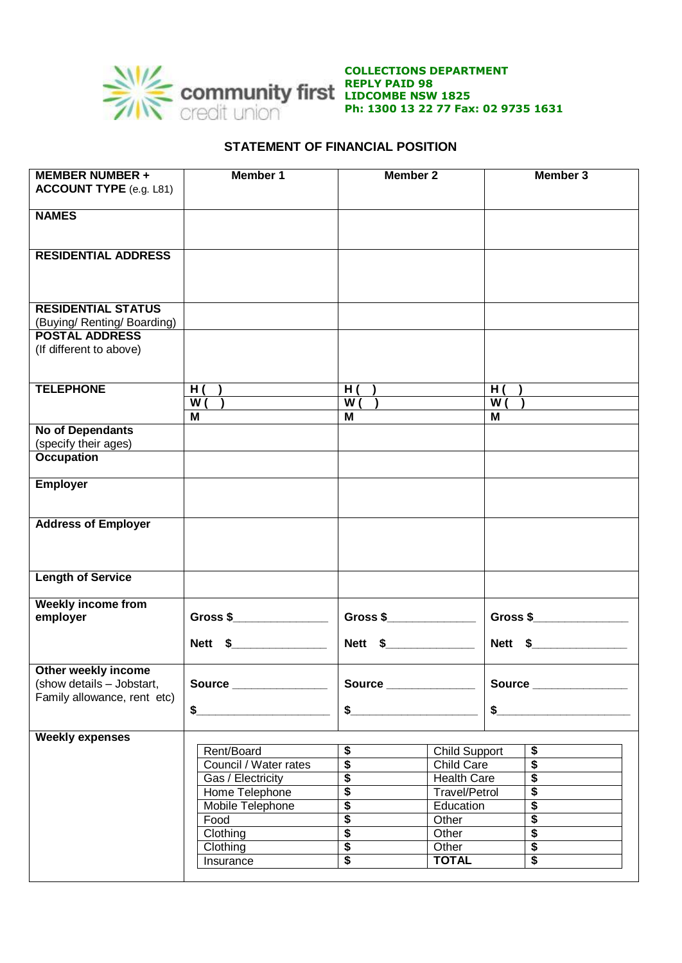

**COLLECTIONS DEPARTMENT REPLY PAID 98 LIDCOMBE NSW 1825 Ph: 1300 13 22 77 Fax: 02 9735 1631**

## **STATEMENT OF FINANCIAL POSITION**

| <b>NAMES</b><br><b>RESIDENTIAL ADDRESS</b><br><b>RESIDENTIAL STATUS</b><br>(Buying/ Renting/ Boarding)<br><b>POSTAL ADDRESS</b><br>(If different to above)<br><b>TELEPHONE</b><br>H ( )<br>$\overline{H}$ ( )<br>H( )<br>$\overline{W( )}$<br>$\overline{W( )}$<br>W( )<br>М<br>М<br>м<br><b>No of Dependants</b><br>(specify their ages)<br><b>Occupation</b> |          |  |
|----------------------------------------------------------------------------------------------------------------------------------------------------------------------------------------------------------------------------------------------------------------------------------------------------------------------------------------------------------------|----------|--|
|                                                                                                                                                                                                                                                                                                                                                                |          |  |
|                                                                                                                                                                                                                                                                                                                                                                |          |  |
|                                                                                                                                                                                                                                                                                                                                                                |          |  |
|                                                                                                                                                                                                                                                                                                                                                                |          |  |
|                                                                                                                                                                                                                                                                                                                                                                |          |  |
|                                                                                                                                                                                                                                                                                                                                                                |          |  |
|                                                                                                                                                                                                                                                                                                                                                                |          |  |
|                                                                                                                                                                                                                                                                                                                                                                |          |  |
| <b>Employer</b>                                                                                                                                                                                                                                                                                                                                                |          |  |
| <b>Address of Employer</b>                                                                                                                                                                                                                                                                                                                                     |          |  |
| <b>Length of Service</b>                                                                                                                                                                                                                                                                                                                                       |          |  |
| <b>Weekly income from</b>                                                                                                                                                                                                                                                                                                                                      |          |  |
| Gross $\frac{1}{2}$<br>Gross $$$<br>employer                                                                                                                                                                                                                                                                                                                   | Gross \$ |  |
| Nett \$_______________<br>Nett \$________________<br>Nett \$                                                                                                                                                                                                                                                                                                   |          |  |
| Other weekly income                                                                                                                                                                                                                                                                                                                                            |          |  |
| (show details - Jobstart,<br>Source _______________<br>Source _______________<br>Source _______________<br>Family allowance, rent etc)                                                                                                                                                                                                                         |          |  |
| \$<br>\$<br>\$                                                                                                                                                                                                                                                                                                                                                 |          |  |
| <b>Weekly expenses</b>                                                                                                                                                                                                                                                                                                                                         |          |  |
| \$<br>\$<br>Rent/Board<br><b>Child Support</b>                                                                                                                                                                                                                                                                                                                 |          |  |
| $\overline{\$}$<br>$\overline{\$}$<br>Council / Water rates<br>Child Care<br>$\overline{\$}$<br>$\overline{\boldsymbol{\mathsf{s}}}$<br><b>Health Care</b>                                                                                                                                                                                                     |          |  |
| Gas / Electricity<br>$\overline{\$}$<br>$\overline{\$}$<br>Home Telephone<br><b>Travel/Petrol</b>                                                                                                                                                                                                                                                              |          |  |
| $\overline{\$}$<br>$\overline{\boldsymbol{\mathsf{s}}}$<br>Mobile Telephone<br>Education                                                                                                                                                                                                                                                                       |          |  |
| $\overline{\$}$<br>$\overline{\boldsymbol{\mathsf{s}}}$<br>Food<br>Other                                                                                                                                                                                                                                                                                       |          |  |
| $\overline{\$}$<br>$\overline{\boldsymbol{\mathsf{s}}}$<br>Clothing<br>Other                                                                                                                                                                                                                                                                                   |          |  |
| $\overline{\$}$<br>$\overline{\boldsymbol{\mathsf{s}}}$<br>Clothing<br>Other                                                                                                                                                                                                                                                                                   |          |  |
| $\overline{\boldsymbol{\mathsf{s}}}$<br>$\overline{\boldsymbol{\mathsf{s}}}$<br><b>TOTAL</b><br>Insurance                                                                                                                                                                                                                                                      |          |  |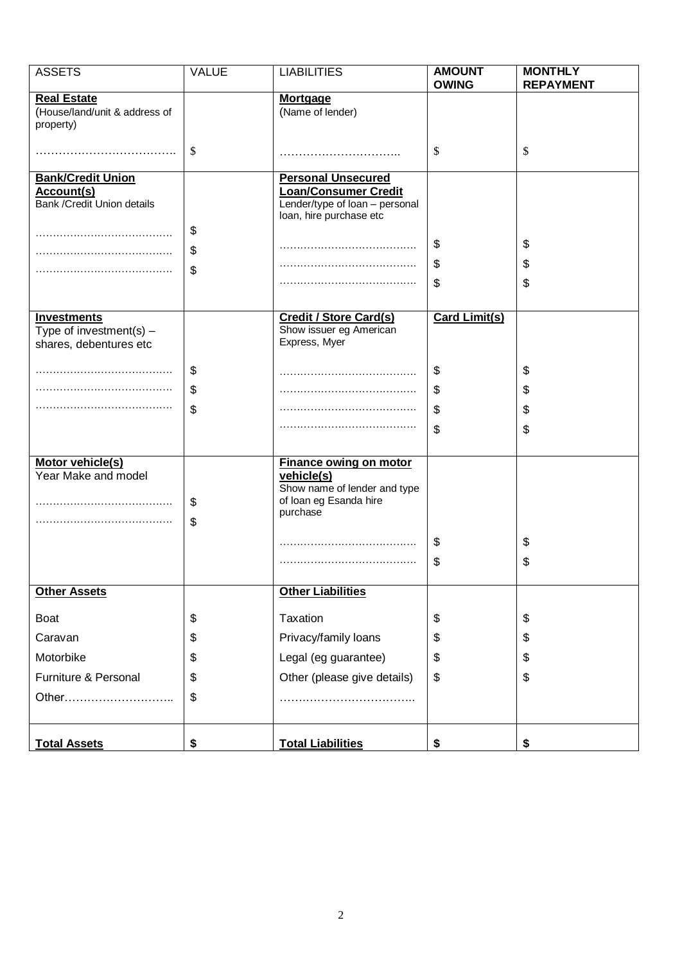| <b>ASSETS</b>                                                             | <b>VALUE</b> | <b>LIABILITIES</b>                                                                                                    | <b>AMOUNT</b><br><b>OWING</b> | <b>MONTHLY</b><br><b>REPAYMENT</b> |  |  |
|---------------------------------------------------------------------------|--------------|-----------------------------------------------------------------------------------------------------------------------|-------------------------------|------------------------------------|--|--|
| <b>Real Estate</b><br>(House/land/unit & address of<br>property)          |              | <b>Mortgage</b><br>(Name of lender)                                                                                   |                               |                                    |  |  |
|                                                                           | \$           |                                                                                                                       | \$                            | \$                                 |  |  |
| <b>Bank/Credit Union</b><br>Account(s)<br>Bank / Credit Union details     |              | <b>Personal Unsecured</b><br><b>Loan/Consumer Credit</b><br>Lender/type of loan - personal<br>loan, hire purchase etc |                               |                                    |  |  |
|                                                                           | \$           |                                                                                                                       | \$                            | \$                                 |  |  |
|                                                                           | \$<br>\$     |                                                                                                                       | \$                            | \$                                 |  |  |
|                                                                           |              |                                                                                                                       | \$                            | \$                                 |  |  |
| <b>Investments</b><br>Type of investment(s) $-$<br>shares, debentures etc |              | <b>Credit / Store Card(s)</b><br>Show issuer eg American<br>Express, Myer                                             | <b>Card Limit(s)</b>          |                                    |  |  |
|                                                                           | \$           |                                                                                                                       | \$                            | \$                                 |  |  |
|                                                                           | \$           |                                                                                                                       | \$                            | \$                                 |  |  |
|                                                                           | \$           |                                                                                                                       | \$                            | \$                                 |  |  |
|                                                                           |              |                                                                                                                       | \$                            | \$                                 |  |  |
| Motor vehicle(s)<br>Year Make and model                                   | \$<br>\$     | <b>Finance owing on motor</b><br>vehicle(s)<br>Show name of lender and type<br>of loan eg Esanda hire<br>purchase     |                               |                                    |  |  |
|                                                                           |              |                                                                                                                       | \$                            | \$                                 |  |  |
|                                                                           |              |                                                                                                                       | \$                            | \$                                 |  |  |
| <b>Other Assets</b>                                                       |              | <b>Other Liabilities</b>                                                                                              |                               |                                    |  |  |
| <b>Boat</b>                                                               | \$           | Taxation                                                                                                              | \$                            | \$                                 |  |  |
| Caravan                                                                   | \$           | Privacy/family loans                                                                                                  | \$                            | \$                                 |  |  |
| Motorbike                                                                 | \$           | Legal (eg guarantee)                                                                                                  | \$                            | \$                                 |  |  |
| Furniture & Personal                                                      | \$           | Other (please give details)                                                                                           | \$                            | \$                                 |  |  |
| Other                                                                     | \$           |                                                                                                                       |                               |                                    |  |  |
| <b>Total Assets</b>                                                       | \$           | <b>Total Liabilities</b>                                                                                              | \$                            | \$                                 |  |  |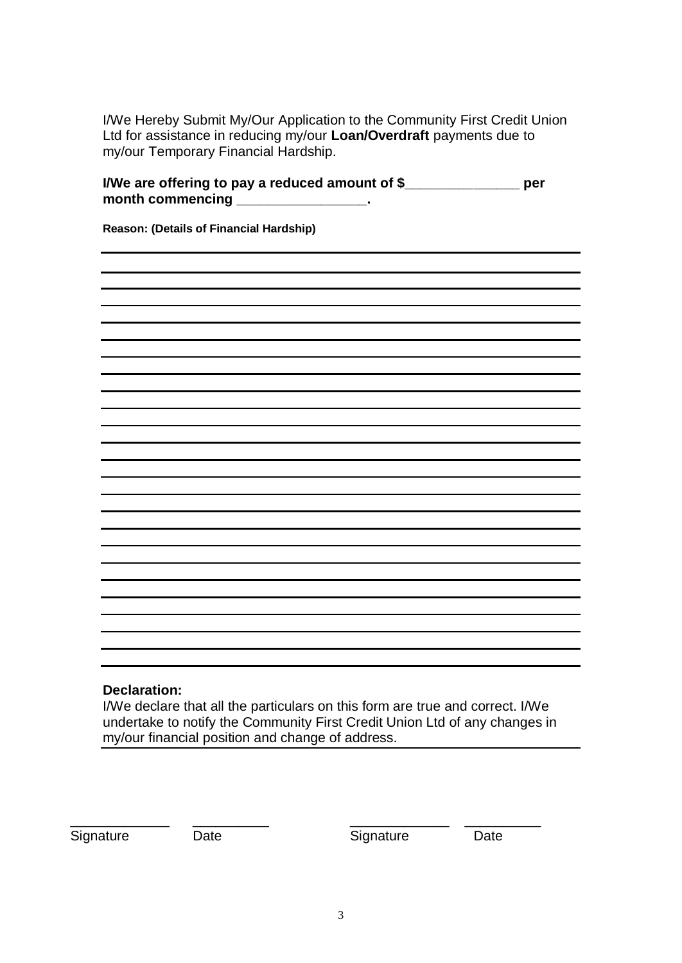I/We Hereby Submit My/Our Application to the Community First Credit Union Ltd for assistance in reducing my/our **Loan/Overdraft** payments due to my/our Temporary Financial Hardship.

| I/We are offering to pay a reduced amount of \$<br>month commencing | per |
|---------------------------------------------------------------------|-----|
| Reason: (Details of Financial Hardship)                             |     |
|                                                                     |     |
|                                                                     |     |
|                                                                     |     |
|                                                                     |     |
|                                                                     |     |
|                                                                     |     |
|                                                                     |     |
|                                                                     |     |
|                                                                     |     |
|                                                                     |     |
|                                                                     |     |
|                                                                     |     |
|                                                                     |     |

## **Declaration:**

I/We declare that all the particulars on this form are true and correct. I/We undertake to notify the Community First Credit Union Ltd of any changes in my/our financial position and change of address.

Signature Date Date Signature Date

\_\_\_\_\_\_\_\_\_\_\_\_\_ \_\_\_\_\_\_\_\_\_\_ \_\_\_\_\_\_\_\_\_\_\_\_\_ \_\_\_\_\_\_\_\_\_\_